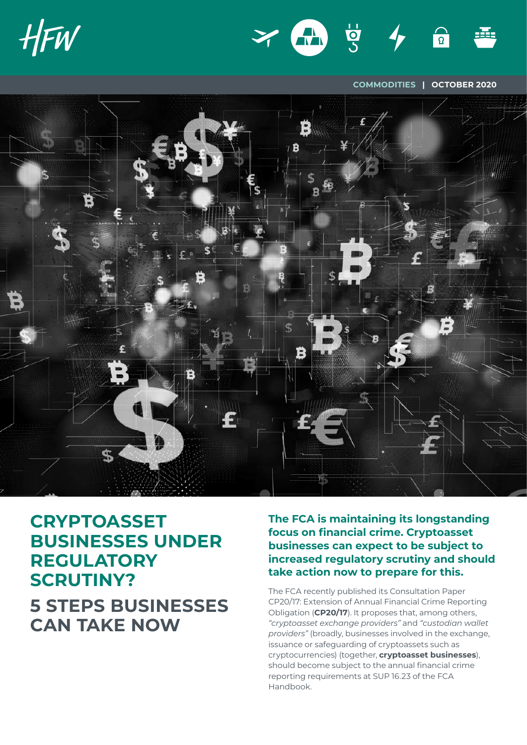



**COMMODITIES | OCTOBER 2020**



# **CRYPTOASSET BUSINESSES UNDER REGULATORY SCRUTINY? 5 STEPS BUSINESSES CAN TAKE NOW**

**The FCA is maintaining its longstanding focus on financial crime. Cryptoasset businesses can expect to be subject to increased regulatory scrutiny and should take action now to prepare for this.**

The FCA recently published its Consultation Paper CP20/17: Extension of Annual Financial Crime Reporting Obligation (**CP20/17**). It proposes that, among others, *"cryptoasset exchange providers"* and *"custodian wallet providers"* (broadly, businesses involved in the exchange, issuance or safeguarding of cryptoassets such as cryptocurrencies) (together, **cryptoasset businesses**), should become subject to the annual financial crime reporting requirements at SUP 16.23 of the FCA Handbook.